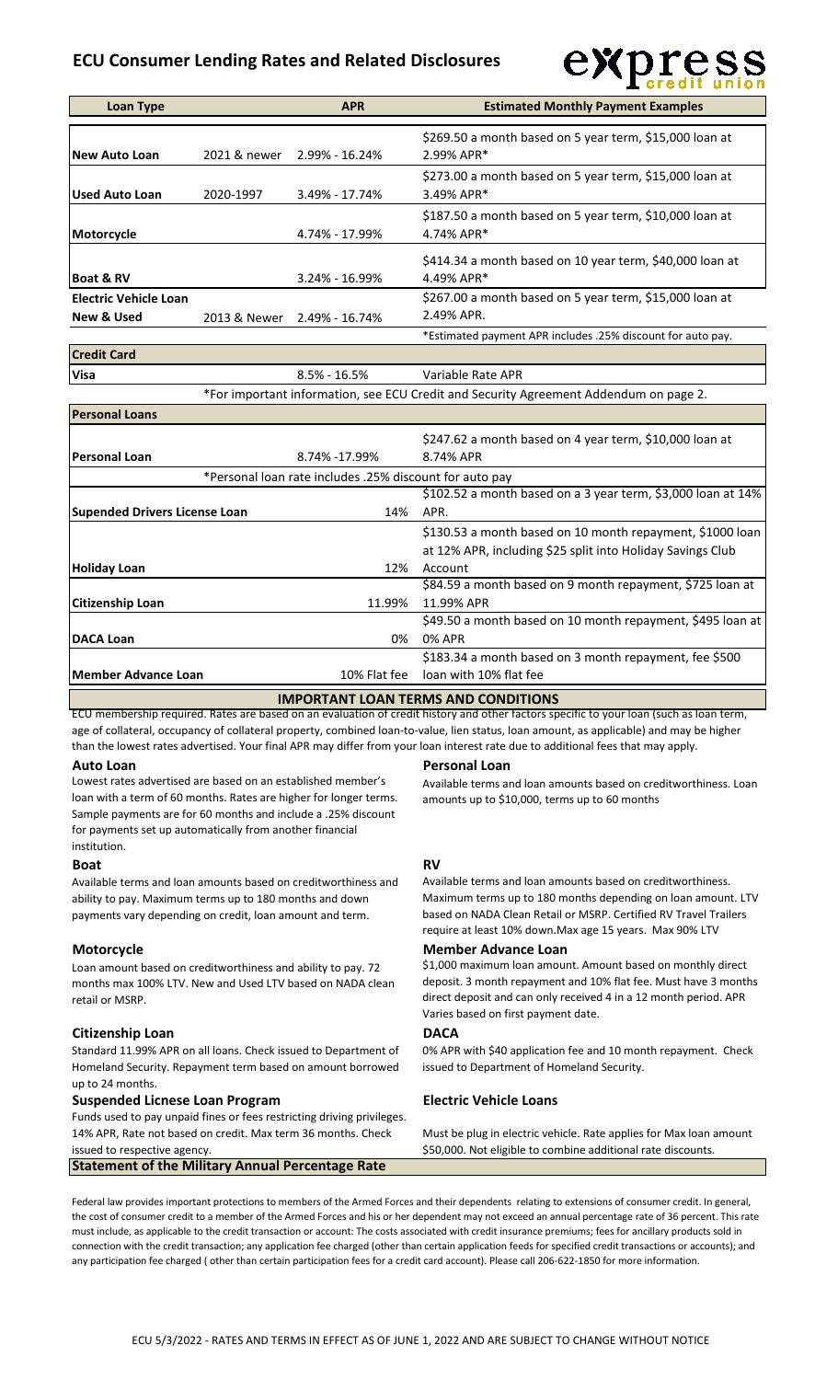# **ECU Consumer Lending Rates and Related Disclosures**



| <b>Credit Card</b> |                  |                                                                                       |
|--------------------|------------------|---------------------------------------------------------------------------------------|
| <b>Visa</b>        | $8.5\% - 16.5\%$ | Variable Rate APR                                                                     |
|                    |                  | *For important information, see ECU Credit and Security Agreement Addendum on page 2. |

| <b>Personal Loans</b>                |                                                         |                                                                      |
|--------------------------------------|---------------------------------------------------------|----------------------------------------------------------------------|
| lPersonal Loan                       | 8.74% -17.99%                                           | \$247.62 a month based on 4 year term, \$10,000 loan at<br>8.74% APR |
|                                      | *Personal loan rate includes .25% discount for auto pay |                                                                      |
|                                      |                                                         | \$102.52 a month based on a 3 year term, \$3,000 loan at 14%         |
| <b>Supended Drivers License Loan</b> | 14%                                                     | APR.                                                                 |
|                                      |                                                         | \$130.53 a month based on 10 month repayment, \$1000 loan            |
|                                      |                                                         | at 12% APR, including \$25 split into Holiday Savings Club           |
| <b>Holiday Loan</b>                  | 12%                                                     | Account                                                              |
|                                      |                                                         | \$84.59 a month based on 9 month repayment, \$725 loan at            |
| <b>Citizenship Loan</b>              | 11.99%                                                  | 11.99% APR                                                           |
|                                      |                                                         | \$49.50 a month based on 10 month repayment, \$495 loan at           |
| <b>DACA Loan</b>                     | 0%                                                      | 0% APR                                                               |
|                                      |                                                         | \$183.34 a month based on 3 month repayment, fee \$500               |
| Member Advance Loan                  | 10% Flat fee                                            | loan with 10% flat fee                                               |
|                                      |                                                         |                                                                      |

### **IMPORTANT LOAN TERMS AND CONDITIONS**

ECU membership required. Rates are based on an evaluation of credit history and other factors specific to your loan (such as loan term, age of collateral, occupancy of collateral property, combined loan-to-value, lien status, loan amount, as applicable) and may be higher than the lowest rates advertised. Your final APR may differ from your loan interest rate due to additional fees that may apply.

Lowest rates advertised are based on an established member's loan with a term of 60 months. Rates are higher for longer terms. Sample payments are for 60 months and include a .25% discount for payments set up automatically from another financial institution.

# **Boat RV**

Available terms and loan amounts based on creditworthiness and ability to pay. Maximum terms up to 180 months and down payments vary depending on credit, loan amount and term.

Loan amount based on creditworthiness and ability to pay. 72 months max 100% LTV. New and Used LTV based on NADA clean retail or MSRP.

### **Citizenship Loan DACA**

Standard 11.99% APR on all loans. Check issued to Department of Homeland Security. Repayment term based on amount borrowed up to 24 months.

# **Suspended Licnese Loan Program Electric Vehicle Loans**

Funds used to pay unpaid fines or fees restricting driving privileges. 14% APR, Rate not based on credit. Max term 36 months. Check issued to respective agency.

# **Statement of the Military Annual Percentage Rate**

### **Auto Loan Personal Loan**

Available terms and loan amounts based on creditworthiness. Loan amounts up to \$10,000, terms up to 60 months

Available terms and loan amounts based on creditworthiness. Maximum terms up to 180 months depending on loan amount. LTV based on NADA Clean Retail or MSRP. Certified RV Travel Trailers require at least 10% down.Max age 15 years. Max 90% LTV

### **Motorcycle Member Advance Loan**

\$1,000 maximum loan amount. Amount based on monthly direct deposit. 3 month repayment and 10% flat fee. Must have 3 months direct deposit and can only received 4 in a 12 month period. APR Varies based on first payment date.

0% APR with \$40 application fee and 10 month repayment. Check issued to Department of Homeland Security.

Must be plug in electric vehicle. Rate applies for Max loan amount \$50,000. Not eligible to combine additional rate discounts.

Federal law provides important protections to members of the Armed Forces and their dependents relating to extensions of consumer credit. In general, the cost of consumer credit to a member of the Armed Forces and his or her dependent may not exceed an annual percentage rate of 36 percent. This rate must include, as applicable to the credit transaction or account: The costs associated with credit insurance premiums; fees for ancillary products sold in connection with the credit transaction; any application fee charged (other than certain application feeds for specified credit transactions or accounts); and any participation fee charged ( other than certain participation fees for a credit card account). Please call 206-622-1850 for more information.